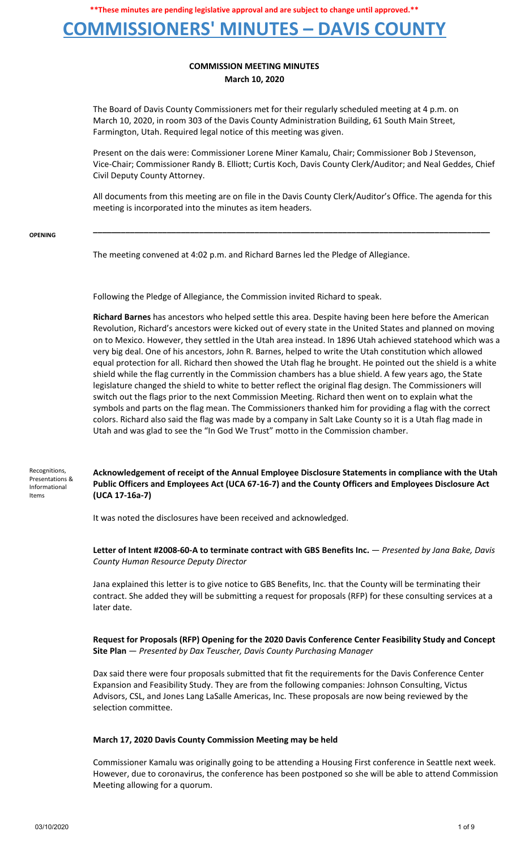**COMMISSIONERS' MINUTES – DAVIS COUNTY**

### **COMMISSION MEETING MINUTES March 10, 2020**

The Board of Davis County Commissioners met for their regularly scheduled meeting at 4 p.m. on March 10, 2020, in room 303 of the Davis County Administration Building, 61 South Main Street, Farmington, Utah. Required legal notice of this meeting was given.

Present on the dais were: Commissioner Lorene Miner Kamalu, Chair; Commissioner Bob J Stevenson, Vice-Chair; Commissioner Randy B. Elliott; Curtis Koch, Davis County Clerk/Auditor; and Neal Geddes, Chief Civil Deputy County Attorney.

All documents from this meeting are on file in the Davis County Clerk/Auditor's Office. The agenda for this meeting is incorporated into the minutes as item headers.

**\_\_\_\_\_\_\_\_\_\_\_\_\_\_\_\_\_\_\_\_\_\_\_\_\_\_\_\_\_\_\_\_\_\_\_\_\_\_\_\_\_\_\_\_\_\_\_\_\_\_\_\_\_\_\_\_\_\_\_\_\_\_\_\_\_\_\_\_\_\_\_\_\_\_\_\_\_\_\_\_\_\_\_\_\_\_**

#### **OPENING**

The meeting convened at 4:02 p.m. and Richard Barnes led the Pledge of Allegiance.

Following the Pledge of Allegiance, the Commission invited Richard to speak.

**Richard Barnes** has ancestors who helped settle this area. Despite having been here before the American Revolution, Richard's ancestors were kicked out of every state in the United States and planned on moving on to Mexico. However, they settled in the Utah area instead. In 1896 Utah achieved statehood which was a very big deal. One of his ancestors, John R. Barnes, helped to write the Utah constitution which allowed equal protection for all. Richard then showed the Utah flag he brought. He pointed out the shield is a white shield while the flag currently in the Commission chambers has a blue shield. A few years ago, the State legislature changed the shield to white to better reflect the original flag design. The Commissioners will switch out the flags prior to the next Commission Meeting. Richard then went on to explain what the symbols and parts on the flag mean. The Commissioners thanked him for providing a flag with the correct colors. Richard also said the flag was made by a company in Salt Lake County so it is a Utah flag made in Utah and was glad to see the "In God We Trust" motto in the Commission chamber.

Recognitions, Presentations & Informational Items

**Acknowledgement of receipt of the Annual Employee Disclosure Statements in compliance with the Utah Public Officers and Employees Act (UCA 67-16-7) and the County Officers and Employees Disclosure Act (UCA 17-16a-7)**

It was noted the disclosures have been received and acknowledged.

**Letter of Intent #2008-60-A to terminate contract with GBS Benefits Inc.** — *Presented by Jana Bake, Davis County Human Resource Deputy Director*

Jana explained this letter is to give notice to GBS Benefits, Inc. that the County will be terminating their contract. She added they will be submitting a request for proposals (RFP) for these consulting services at a later date.

**Request for Proposals (RFP) Opening for the 2020 Davis Conference Center Feasibility Study and Concept Site Plan** — *Presented by Dax Teuscher, Davis County Purchasing Manager*

Dax said there were four proposals submitted that fit the requirements for the Davis Conference Center Expansion and Feasibility Study. They are from the following companies: Johnson Consulting, Victus Advisors, CSL, and Jones Lang LaSalle Americas, Inc. These proposals are now being reviewed by the selection committee.

### **March 17, 2020 Davis County Commission Meeting may be held**

Commissioner Kamalu was originally going to be attending a Housing First conference in Seattle next week. However, due to coronavirus, the conference has been postponed so she will be able to attend Commission Meeting allowing for a quorum.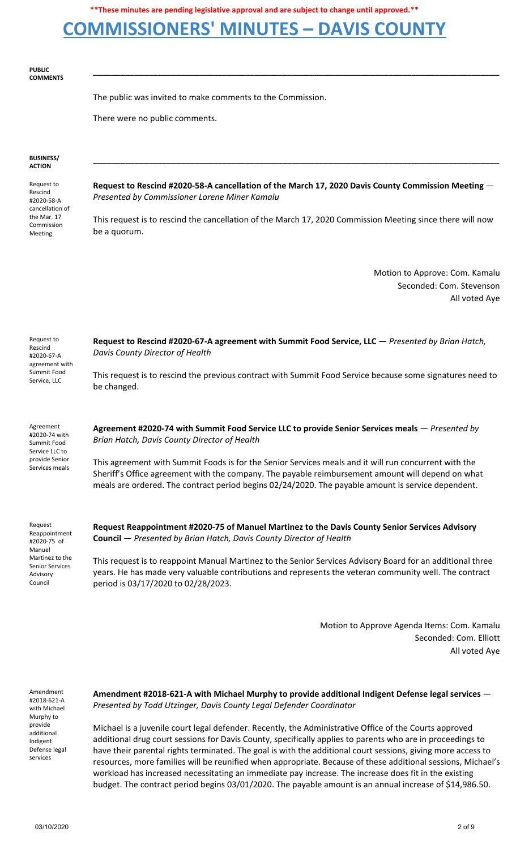## **COMMISSIONERS' MINUTES – DAVIS COUNTY**

#### **PUBLIC COMMENTS**

The public was invited to make comments to the Commission.

There were no public comments.

#### **BUSINESS/ ACTION**

Request to Rescind #2020-58-A cancellation of the Mar. 17 Commission Meeting

**Request to Rescind #2020-58-A cancellation of the March 17, 2020 Davis County Commission Meeting** — *Presented by Commissioner Lorene Miner Kamalu*

**\_\_\_\_\_\_\_\_\_\_\_\_\_\_\_\_\_\_\_\_\_\_\_\_\_\_\_\_\_\_\_\_\_\_\_\_\_\_\_\_\_\_\_\_\_\_\_\_\_\_\_\_\_\_\_\_\_\_\_\_\_\_\_\_\_\_\_\_\_\_\_\_\_\_\_\_\_\_\_\_\_\_\_\_\_\_\_\_**

**\_\_\_\_\_\_\_\_\_\_\_\_\_\_\_\_\_\_\_\_\_\_\_\_\_\_\_\_\_\_\_\_\_\_\_\_\_\_\_\_\_\_\_\_\_\_\_\_\_\_\_\_\_\_\_\_\_\_\_\_\_\_\_\_\_\_\_\_\_\_\_\_\_\_\_\_\_\_\_\_\_\_\_\_\_\_\_\_**

This request is to rescind the cancellation of the March 17, 2020 Commission Meeting since there will now be a quorum.

> Motion to Approve: Com. Kamalu Seconded: Com. Stevenson All voted Aye

| Request to<br>Rescind<br>#2020-67-A<br>agreement with<br>Summit Food<br>Service, LLC | Request to Rescind #2020-67-A agreement with Summit Food Service, LLC - Presented by Brian Hatch,<br>Davis County Director of Health |
|--------------------------------------------------------------------------------------|--------------------------------------------------------------------------------------------------------------------------------------|
|                                                                                      | This request is to rescind the previous contract with Summit Food Service because some signatures need to<br>be changed.             |
|                                                                                      |                                                                                                                                      |

Agreement #2020-74 with Summit Food Service LLC to provide Senior Services meals **Agreement #2020-74 with Summit Food Service LLC to provide Senior Services meals** — *Presented by Brian Hatch, Davis County Director of Health*

This agreement with Summit Foods is for the Senior Services meals and it will run concurrent with the Sheriff's Office agreement with the company. The payable reimbursement amount will depend on what meals are ordered. The contract period begins 02/24/2020. The payable amount is service dependent.

Request Reappointment #2020-75 of Manuel Martinez to the Senior Services Advisory Council

**Request Reappointment #2020-75 of Manuel Martinez to the Davis County Senior Services Advisory Council** — *Presented by Brian Hatch, Davis County Director of Health*

This request is to reappoint Manual Martinez to the Senior Services Advisory Board for an additional three years. He has made very valuable contributions and represents the veteran community well. The contract period is 03/17/2020 to 02/28/2023.

> Motion to Approve Agenda Items: Com. Kamalu Seconded: Com. Elliott All voted Aye

Amendment #2018-621-A with Michael Murphy to provide additional Indigent Defense legal services

**Amendment #2018-621-A with Michael Murphy to provide additional Indigent Defense legal services** — *Presented by Todd Utzinger, Davis County Legal Defender Coordinator*

Michael is a juvenile court legal defender. Recently, the Administrative Office of the Courts approved additional drug court sessions for Davis County, specifically applies to parents who are in proceedings to have their parental rights terminated. The goal is with the additional court sessions, giving more access to resources, more families will be reunified when appropriate. Because of these additional sessions, Michael's workload has increased necessitating an immediate pay increase. The increase does fit in the existing budget. The contract period begins 03/01/2020. The payable amount is an annual increase of \$14,986.50.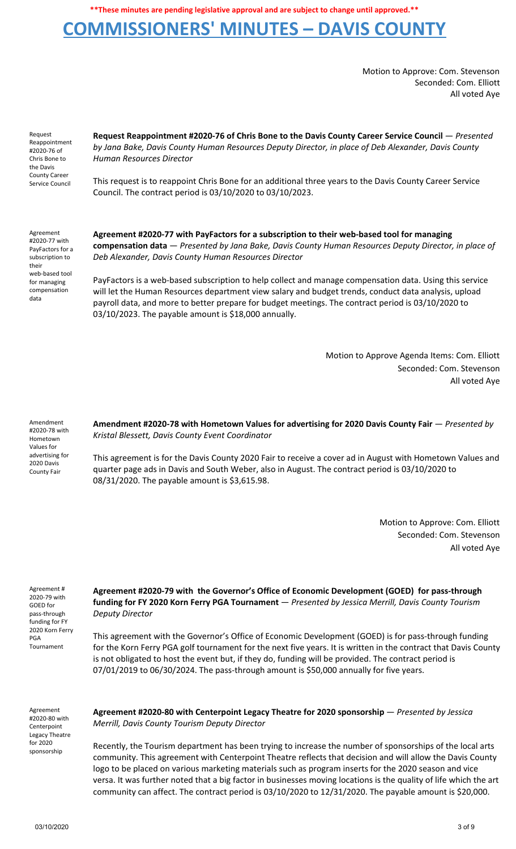## **COMMISSIONERS' MINUTES – DAVIS COUNTY**

Motion to Approve: Com. Stevenson Seconded: Com. Elliott All voted Aye

Request Reappointment #2020-76 of Chris Bone to the Davis County Career Service Council

**Request Reappointment #2020-76 of Chris Bone to the Davis County Career Service Council** — *Presented by Jana Bake, Davis County Human Resources Deputy Director, in place of Deb Alexander, Davis County Human Resources Director*

This request is to reappoint Chris Bone for an additional three years to the Davis County Career Service Council. The contract period is 03/10/2020 to 03/10/2023.

Agreement #2020-77 with PayFactors for a subscription to their web-based tool for managing compensation data

**Agreement #2020-77 with PayFactors for a subscription to their web-based tool for managing compensation data** — *Presented by Jana Bake, Davis County Human Resources Deputy Director, in place of Deb Alexander, Davis County Human Resources Director*

PayFactors is a web-based subscription to help collect and manage compensation data. Using this service will let the Human Resources department view salary and budget trends, conduct data analysis, upload payroll data, and more to better prepare for budget meetings. The contract period is 03/10/2020 to 03/10/2023. The payable amount is \$18,000 annually.

> Motion to Approve Agenda Items: Com. Elliott Seconded: Com. Stevenson All voted Aye

Amendment #2020-78 with Hometown Values for advertising for 2020 Davis County Fair

**Amendment #2020-78 with Hometown Values for advertising for 2020 Davis County Fair** — *Presented by Kristal Blessett, Davis County Event Coordinator*

This agreement is for the Davis County 2020 Fair to receive a cover ad in August with Hometown Values and quarter page ads in Davis and South Weber, also in August. The contract period is 03/10/2020 to 08/31/2020. The payable amount is \$3,615.98.

> Motion to Approve: Com. Elliott Seconded: Com. Stevenson All voted Aye

Agreement # 2020-79 with GOED for pass-through funding for FY 2020 Korn Ferry PGA Tournament

**Agreement #2020-79 with the Governor's Office of Economic Development (GOED) for pass-through funding for FY 2020 Korn Ferry PGA Tournament** — *Presented by Jessica Merrill, Davis County Tourism Deputy Director*

This agreement with the Governor's Office of Economic Development (GOED) is for pass-through funding for the Korn Ferry PGA golf tournament for the next five years. It is written in the contract that Davis County is not obligated to host the event but, if they do, funding will be provided. The contract period is 07/01/2019 to 06/30/2024. The pass-through amount is \$50,000 annually for five years.

Agreement #2020-80 with Centerpoint Legacy Theatre for 2020 sponsorship

**Agreement #2020-80 with Centerpoint Legacy Theatre for 2020 sponsorship** — *Presented by Jessica Merrill, Davis County Tourism Deputy Director*

Recently, the Tourism department has been trying to increase the number of sponsorships of the local arts community. This agreement with Centerpoint Theatre reflects that decision and will allow the Davis County logo to be placed on various marketing materials such as program inserts for the 2020 season and vice versa. It was further noted that a big factor in businesses moving locations is the quality of life which the art community can affect. The contract period is 03/10/2020 to 12/31/2020. The payable amount is \$20,000.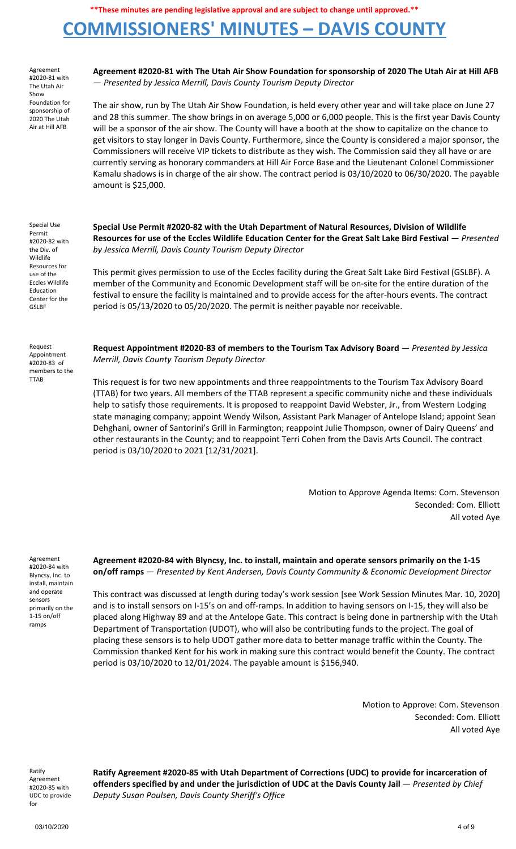# **COMMISSIONERS' MINUTES – DAVIS COUNTY**

Agreement #2020-81 with The Utah Air Show Foundation for sponsorship of 2020 The Utah Air at Hill AFB

Agreement #2020-81 with The Utah Air Show Foundation for sponsorship of 2020 The Utah Air at Hill AFB — *Presented by Jessica Merrill, Davis County Tourism Deputy Director*

The air show, run by The Utah Air Show Foundation, is held every other year and will take place on June 27 and 28 this summer. The show brings in on average 5,000 or 6,000 people. This is the first year Davis County will be a sponsor of the air show. The County will have a booth at the show to capitalize on the chance to get visitors to stay longer in Davis County. Furthermore, since the County is considered a major sponsor, the Commissioners will receive VIP tickets to distribute as they wish. The Commission said they all have or are currently serving as honorary commanders at Hill Air Force Base and the Lieutenant Colonel Commissioner Kamalu shadows is in charge of the air show. The contract period is 03/10/2020 to 06/30/2020. The payable amount is \$25,000.

Special Use Permit #2020-82 with the Div. of Wildlife Resources for use of the Eccles Wildlife Education Center for the GSLBF

Request Appointment #2020-83 of members to the TTAB

**Special Use Permit #2020-82 with the Utah Department of Natural Resources, Division of Wildlife** Resources for use of the Eccles Wildlife Education Center for the Great Salt Lake Bird Festival - Presented *by Jessica Merrill, Davis County Tourism Deputy Director*

This permit gives permission to use of the Eccles facility during the Great Salt Lake Bird Festival (GSLBF). A member of the Community and Economic Development staff will be on-site for the entire duration of the festival to ensure the facility is maintained and to provide access for the after-hours events. The contract period is 05/13/2020 to 05/20/2020. The permit is neither payable nor receivable.

**Request Appointment #2020-83 of members to the Tourism Tax Advisory Board** — *Presented by Jessica Merrill, Davis County Tourism Deputy Director*

This request is for two new appointments and three reappointments to the Tourism Tax Advisory Board (TTAB) for two years. All members of the TTAB represent a specific community niche and these individuals help to satisfy those requirements. It is proposed to reappoint David Webster, Jr., from Western Lodging state managing company; appoint Wendy Wilson, Assistant Park Manager of Antelope Island; appoint Sean Dehghani, owner of Santorini's Grill in Farmington; reappoint Julie Thompson, owner of Dairy Queens' and other restaurants in the County; and to reappoint Terri Cohen from the Davis Arts Council. The contract period is 03/10/2020 to 2021 [12/31/2021].

> Motion to Approve Agenda Items: Com. Stevenson Seconded: Com. Elliott All voted Aye

Agreement #2020-84 with Blyncsy, Inc. to install, maintain and operate sensors primarily on the 1-15 on/off ramps

**Agreement #2020-84 with Blyncsy, Inc. to install, maintain and operate sensors primarily on the 1-15 on/off ramps** — *Presented by Kent Andersen, Davis County Community & Economic Development Director*

This contract was discussed at length during today's work session [see Work Session Minutes Mar. 10, 2020] and is to install sensors on I-15's on and off-ramps. In addition to having sensors on I-15, they will also be placed along Highway 89 and at the Antelope Gate. This contract is being done in partnership with the Utah Department of Transportation (UDOT), who will also be contributing funds to the project. The goal of placing these sensors is to help UDOT gather more data to better manage traffic within the County. The Commission thanked Kent for his work in making sure this contract would benefit the County. The contract period is 03/10/2020 to 12/01/2024. The payable amount is \$156,940.

> Motion to Approve: Com. Stevenson Seconded: Com. Elliott All voted Aye

Ratify Agreement #2020-85 with UDC to provide for

**Ratify Agreement #2020-85 with Utah Department of Corrections (UDC) to provide for incarceration of offenders specified by and under the jurisdiction of UDC at the Davis County Jail** — *Presented by Chief Deputy Susan Poulsen, Davis County Sheriff's Office*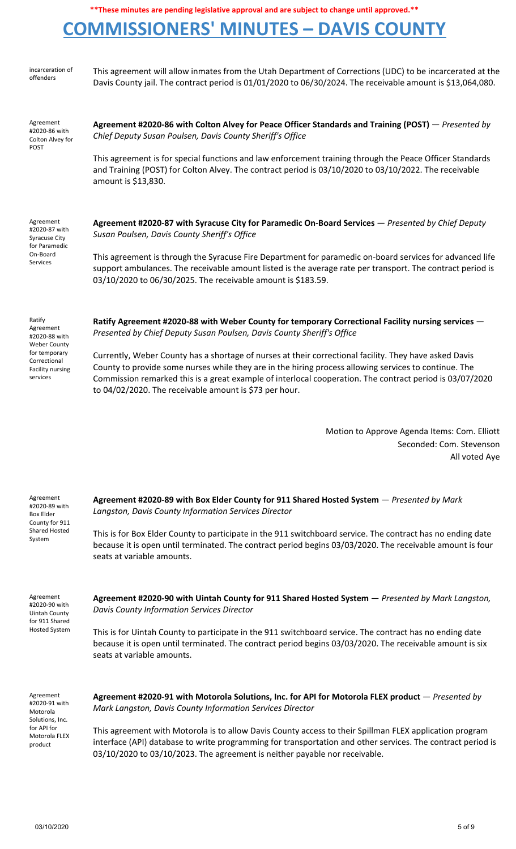# **COMMISSIONERS' MINUTES – DAVIS COUNTY**

| incarceration of<br>offenders                                                                                                       | This agreement will allow inmates from the Utah Department of Corrections (UDC) to be incarcerated at the<br>Davis County jail. The contract period is 01/01/2020 to 06/30/2024. The receivable amount is \$13,064,080.                                                                                                                                                               |
|-------------------------------------------------------------------------------------------------------------------------------------|---------------------------------------------------------------------------------------------------------------------------------------------------------------------------------------------------------------------------------------------------------------------------------------------------------------------------------------------------------------------------------------|
| Agreement<br>#2020-86 with<br>Colton Alvey for<br>POST                                                                              | Agreement #2020-86 with Colton Alvey for Peace Officer Standards and Training (POST) - Presented by<br>Chief Deputy Susan Poulsen, Davis County Sheriff's Office                                                                                                                                                                                                                      |
|                                                                                                                                     | This agreement is for special functions and law enforcement training through the Peace Officer Standards<br>and Training (POST) for Colton Alvey. The contract period is 03/10/2020 to 03/10/2022. The receivable<br>amount is \$13,830.                                                                                                                                              |
| Agreement<br>#2020-87 with<br><b>Syracuse City</b><br>for Paramedic<br>On-Board<br>Services                                         | Agreement #2020-87 with Syracuse City for Paramedic On-Board Services - Presented by Chief Deputy<br>Susan Poulsen, Davis County Sheriff's Office                                                                                                                                                                                                                                     |
|                                                                                                                                     | This agreement is through the Syracuse Fire Department for paramedic on-board services for advanced life<br>support ambulances. The receivable amount listed is the average rate per transport. The contract period is<br>03/10/2020 to 06/30/2025. The receivable amount is \$183.59.                                                                                                |
| Ratify<br>Agreement<br>#2020-88 with<br><b>Weber County</b><br>for temporary<br>Correctional<br><b>Facility nursing</b><br>services | Ratify Agreement #2020-88 with Weber County for temporary Correctional Facility nursing services -<br>Presented by Chief Deputy Susan Poulsen, Davis County Sheriff's Office                                                                                                                                                                                                          |
|                                                                                                                                     | Currently, Weber County has a shortage of nurses at their correctional facility. They have asked Davis<br>County to provide some nurses while they are in the hiring process allowing services to continue. The<br>Commission remarked this is a great example of interlocal cooperation. The contract period is 03/07/2020<br>to 04/02/2020. The receivable amount is \$73 per hour. |
|                                                                                                                                     | Motion to Approve Agenda Items: Com. Elliott<br>Seconded: Com. Stevenson<br>All voted Aye                                                                                                                                                                                                                                                                                             |
| Agreement<br>#2020-89 with<br>Box Elder<br>County for 911<br>Shared Hosted<br>System                                                | Agreement #2020-89 with Box Elder County for 911 Shared Hosted System - Presented by Mark<br>Langston, Davis County Information Services Director                                                                                                                                                                                                                                     |
|                                                                                                                                     | This is for Box Elder County to participate in the 911 switchboard service. The contract has no ending date<br>because it is open until terminated. The contract period begins 03/03/2020. The receivable amount is four<br>seats at variable amounts.                                                                                                                                |
| Agreement<br>#2020-90 with<br>Uintah County<br>for 911 Shared<br><b>Hosted System</b>                                               | Agreement #2020-90 with Uintah County for 911 Shared Hosted System - Presented by Mark Langston,<br><b>Davis County Information Services Director</b>                                                                                                                                                                                                                                 |
|                                                                                                                                     | This is for Uintah County to participate in the 911 switchboard service. The contract has no ending date<br>because it is open until terminated. The contract period begins 03/03/2020. The receivable amount is six<br>seats at variable amounts.                                                                                                                                    |
| Agreement<br>#2020-91 with<br>Motorola<br>Solutions, Inc.<br>for API for<br>Motorola FLEX<br>product                                | Agreement #2020-91 with Motorola Solutions, Inc. for API for Motorola FLEX product - Presented by<br>Mark Langston, Davis County Information Services Director                                                                                                                                                                                                                        |
|                                                                                                                                     | This agreement with Motorola is to allow Davis County access to their Spillman FLEX application program<br>interface (API) database to write programming for transportation and other services. The contract period is<br>03/10/2020 to 03/10/2023. The agreement is neither payable nor receivable.                                                                                  |

incarceration of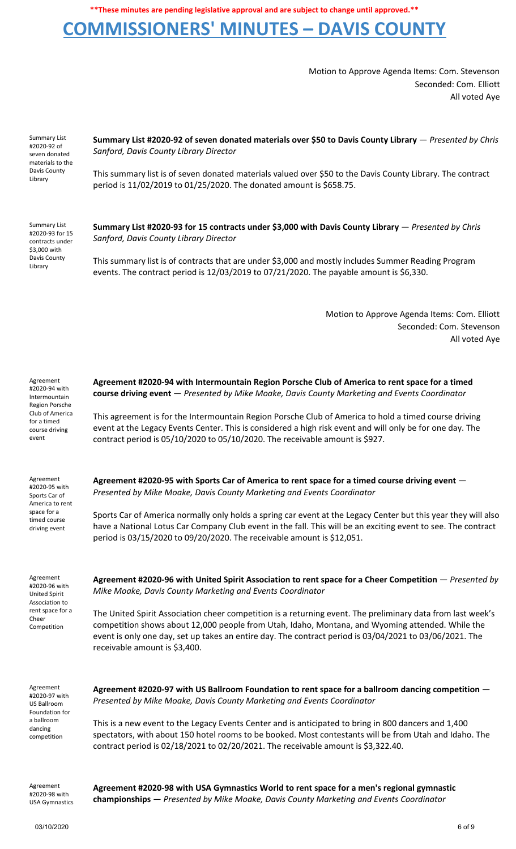## **COMMISSIONERS' MINUTES – DAVIS COUNTY**

Motion to Approve Agenda Items: Com. Stevenson Seconded: Com. Elliott All voted Aye

Summary List #2020-92 of seven donated materials to the Davis County Library

**Summary List #2020-92 of seven donated materials over \$50 to Davis County Library** — *Presented by Chris Sanford, Davis County Library Director*

This summary list is of seven donated materials valued over \$50 to the Davis County Library. The contract period is 11/02/2019 to 01/25/2020. The donated amount is \$658.75.

Summary List #2020-93 for 15 contracts under \$3,000 with Davis County Library

**Summary List #2020-93 for 15 contracts under \$3,000 with Davis County Library** — *Presented by Chris Sanford, Davis County Library Director*

This summary list is of contracts that are under \$3,000 and mostly includes Summer Reading Program events. The contract period is 12/03/2019 to 07/21/2020. The payable amount is \$6,330.

> Motion to Approve Agenda Items: Com. Elliott Seconded: Com. Stevenson All voted Aye

| Agreement<br>#2020-94 with<br>Intermountain                                 | Agreement #2020-94 with Intermountain Region Porsche Club of America to rent space for a timed<br>course driving event - Presented by Mike Moake, Davis County Marketing and Events Coordinator                                                                                                                                                             |
|-----------------------------------------------------------------------------|-------------------------------------------------------------------------------------------------------------------------------------------------------------------------------------------------------------------------------------------------------------------------------------------------------------------------------------------------------------|
| Region Porsche<br>Club of America<br>for a timed<br>course driving<br>event | This agreement is for the Intermountain Region Porsche Club of America to hold a timed course driving<br>event at the Legacy Events Center. This is considered a high risk event and will only be for one day. The<br>contract period is 05/10/2020 to 05/10/2020. The receivable amount is \$927.                                                          |
| Agreement<br>#2020-95 with<br>Sports Car of<br>America to rent              | Agreement #2020-95 with Sports Car of America to rent space for a timed course driving event -<br>Presented by Mike Moake, Davis County Marketing and Events Coordinator                                                                                                                                                                                    |
| space for a<br>timed course<br>driving event                                | Sports Car of America normally only holds a spring car event at the Legacy Center but this year they will also<br>have a National Lotus Car Company Club event in the fall. This will be an exciting event to see. The contract<br>period is 03/15/2020 to 09/20/2020. The receivable amount is \$12,051.                                                   |
| Agreement<br>#2020-96 with<br><b>United Spirit</b>                          | Agreement #2020-96 with United Spirit Association to rent space for a Cheer Competition - Presented by<br>Mike Moake, Davis County Marketing and Events Coordinator                                                                                                                                                                                         |
| Association to<br>rent space for a<br>Cheer<br>Competition                  | The United Spirit Association cheer competition is a returning event. The preliminary data from last week's<br>competition shows about 12,000 people from Utah, Idaho, Montana, and Wyoming attended. While the<br>event is only one day, set up takes an entire day. The contract period is 03/04/2021 to 03/06/2021. The<br>receivable amount is \$3,400. |
| Agreement<br>#2020-97 with<br>US Ballroom<br>Foundation for                 | Agreement #2020-97 with US Ballroom Foundation to rent space for a ballroom dancing competition $-$<br>Presented by Mike Moake, Davis County Marketing and Events Coordinator                                                                                                                                                                               |
| a ballroom<br>dancing<br>competition                                        | This is a new event to the Legacy Events Center and is anticipated to bring in 800 dancers and 1,400<br>spectators, with about 150 hotel rooms to be booked. Most contestants will be from Utah and Idaho. The<br>contract period is 02/18/2021 to 02/20/2021. The receivable amount is \$3,322.40.                                                         |
| Agreement                                                                   | Agrooment #2020-98 with LISA Gymnaetics World to rent snace for a men's regional gymnastic                                                                                                                                                                                                                                                                  |

USA Gymnastics

#2020-98 with

**Agreement #2020-98 with USA Gymnastics World to rent space for a men's regional gymnastic championships** — *Presented by Mike Moake, Davis County Marketing and Events Coordinator*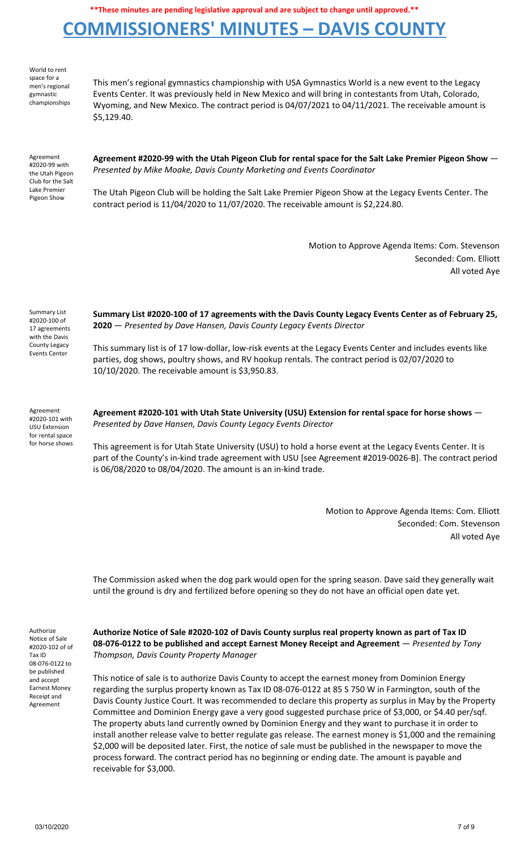## **COMMISSIONERS' MINUTES – DAVIS COUNTY**

World to rent space for a men's regional gymnastic championships

This men's regional gymnastics championship with USA Gymnastics World is a new event to the Legacy Events Center. It was previously held in New Mexico and will bring in contestants from Utah, Colorado, Wyoming, and New Mexico. The contract period is 04/07/2021 to 04/11/2021. The receivable amount is \$5,129.40.

Agreement #2020-99 with the Utah Pigeon Club for the Salt Lake Premier Pigeon Show

**Agreement #2020-99 with the Utah Pigeon Club for rental space for the Salt Lake Premier Pigeon Show** — *Presented by Mike Moake, Davis County Marketing and Events Coordinator*

The Utah Pigeon Club will be holding the Salt Lake Premier Pigeon Show at the Legacy Events Center. The contract period is 11/04/2020 to 11/07/2020. The receivable amount is \$2,224.80.

> Motion to Approve Agenda Items: Com. Stevenson Seconded: Com. Elliott All voted Aye

Summary List #2020-100 of 17 agreements with the Davis County Legacy Events Center

**Summary List #2020-100 of 17 agreements with the Davis County Legacy Events Center as of February 25, 2020** — *Presented by Dave Hansen, Davis County Legacy Events Director*

This summary list is of 17 low-dollar, low-risk events at the Legacy Events Center and includes events like parties, dog shows, poultry shows, and RV hookup rentals. The contract period is 02/07/2020 to 10/10/2020. The receivable amount is \$3,950.83.

Agreement #2020-101 with USU Extension for rental space for horse shows **Agreement #2020-101 with Utah State University (USU) Extension for rental space for horse shows** — *Presented by Dave Hansen, Davis County Legacy Events Director*

This agreement is for Utah State University (USU) to hold a horse event at the Legacy Events Center. It is part of the County's in-kind trade agreement with USU [see Agreement #2019-0026-B]. The contract period is 06/08/2020 to 08/04/2020. The amount is an in-kind trade.

> Motion to Approve Agenda Items: Com. Elliott Seconded: Com. Stevenson All voted Aye

The Commission asked when the dog park would open for the spring season. Dave said they generally wait until the ground is dry and fertilized before opening so they do not have an official open date yet.

Authorize Notice of Sale #2020-102 of of Tax ID 08-076-0122 to be published and accept Earnest Money Receipt and Agreement

**Authorize Notice of Sale #2020-102 of Davis County surplus real property known as part of Tax ID 08-076-0122 to be published and accept Earnest Money Receipt and Agreement** — *Presented by Tony Thompson, Davis County Property Manager*

This notice of sale is to authorize Davis County to accept the earnest money from Dominion Energy regarding the surplus property known as Tax ID 08-076-0122 at 85 S 750 W in Farmington, south of the Davis County Justice Court. It was recommended to declare this property as surplus in May by the Property Committee and Dominion Energy gave a very good suggested purchase price of \$3,000, or \$4.40 per/sqf. The property abuts land currently owned by Dominion Energy and they want to purchase it in order to install another release valve to better regulate gas release. The earnest money is \$1,000 and the remaining \$2,000 will be deposited later. First, the notice of sale must be published in the newspaper to move the process forward. The contract period has no beginning or ending date. The amount is payable and receivable for \$3,000.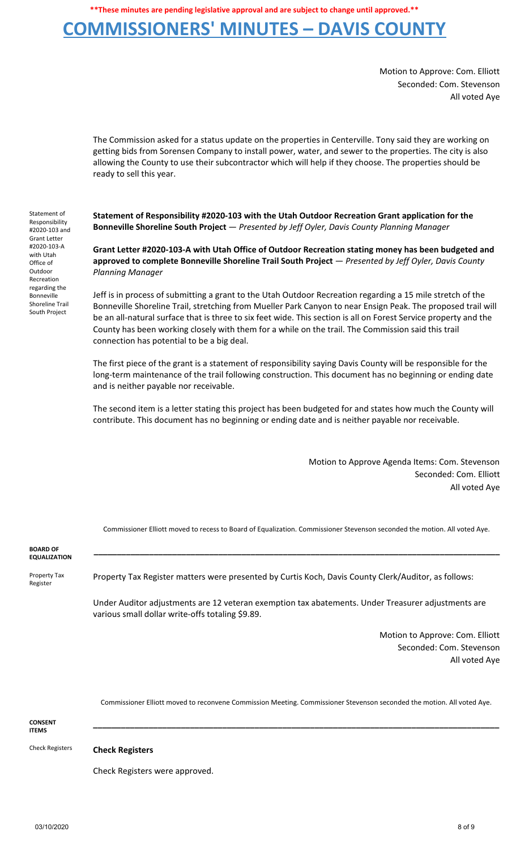## **COMMISSIONERS' MINUTES – DAVIS COUNTY**

Motion to Approve: Com. Elliott Seconded: Com. Stevenson All voted Aye

The Commission asked for a status update on the properties in Centerville. Tony said they are working on getting bids from Sorensen Company to install power, water, and sewer to the properties. The city is also allowing the County to use their subcontractor which will help if they choose. The properties should be ready to sell this year.

**Statement of Responsibility #2020-103 with the Utah Outdoor Recreation Grant application for the Bonneville Shoreline South Project** — *Presented by Jeff Oyler, Davis County Planning Manager*

**Grant Letter #2020-103-A with Utah Office of Outdoor Recreation stating money has been budgeted and approved to complete Bonneville Shoreline Trail South Project** — *Presented by Jeff Oyler, Davis County Planning Manager*

Jeff is in process of submitting a grant to the Utah Outdoor Recreation regarding a 15 mile stretch of the Bonneville Shoreline Trail, stretching from Mueller Park Canyon to near Ensign Peak. The proposed trail will be an all-natural surface that is three to six feet wide. This section is all on Forest Service property and the County has been working closely with them for a while on the trail. The Commission said this trail connection has potential to be a big deal.

The first piece of the grant is a statement of responsibility saying Davis County will be responsible for the long-term maintenance of the trail following construction. This document has no beginning or ending date and is neither payable nor receivable.

The second item is a letter stating this project has been budgeted for and states how much the County will contribute. This document has no beginning or ending date and is neither payable nor receivable.

> Motion to Approve Agenda Items: Com. Stevenson Seconded: Com. Elliott All voted Aye

Commissioner Elliott moved to recess to Board of Equalization. Commissioner Stevenson seconded the motion. All voted Aye.

**BOARD OF EQUALIZATION \_\_\_\_\_\_\_\_\_\_\_\_\_\_\_\_\_\_\_\_\_\_\_\_\_\_\_\_\_\_\_\_\_\_\_\_\_\_\_\_\_\_\_\_\_\_\_\_\_\_\_\_\_\_\_\_\_\_\_\_\_\_\_\_\_\_\_\_\_\_\_\_\_\_\_\_\_\_\_\_\_\_\_\_\_\_\_\_** Property Tax Register Property Tax Register matters were presented by Curtis Koch, Davis County Clerk/Auditor, as follows: Under Auditor adjustments are 12 veteran exemption tax abatements. Under Treasurer adjustments are various small dollar write-offs totaling \$9.89. Motion to Approve: Com. Elliott Seconded: Com. Stevenson All voted Aye Commissioner Elliott moved to reconvene Commission Meeting. Commissioner Stevenson seconded the motion. All voted Aye. **CONSENT ITEMS \_\_\_\_\_\_\_\_\_\_\_\_\_\_\_\_\_\_\_\_\_\_\_\_\_\_\_\_\_\_\_\_\_\_\_\_\_\_\_\_\_\_\_\_\_\_\_\_\_\_\_\_\_\_\_\_\_\_\_\_\_\_\_\_\_\_\_\_\_\_\_\_\_\_\_\_\_\_\_\_\_\_\_\_\_\_\_\_** Check Registers **Check Registers** Check Registers were approved.

Statement of Responsibility #2020-103 and Grant Letter #2020-103-A with Utah Office of **Outdoor** Recreation regarding the Bonneville Shoreline Trail South Project